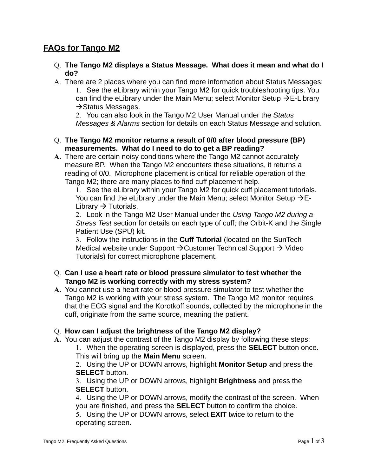# **FAQs for Tango M2**

- Q. **The Tango M2 displays a Status Message. What does it mean and what do I do?**
- A. There are 2 places where you can find more information about Status Messages:

1. See the eLibrary within your Tango M2 for quick troubleshooting tips. You can find the eLibrary under the Main Menu; select Monitor Setup  $\rightarrow$  E-Library  $\rightarrow$  Status Messages.

2. You can also look in the Tango M2 User Manual under the *Status Messages & Alarms* section for details on each Status Message and solution.

- Q. **The Tango M2 monitor returns a result of 0/0 after blood pressure (BP) measurements. What do I need to do to get a BP reading?**
- **A.** There are certain noisy conditions where the Tango M2 cannot accurately measure BP. When the Tango M2 encounters these situations, it returns a reading of 0/0. Microphone placement is critical for reliable operation of the Tango M2; there are many places to find cuff placement help.

1. See the eLibrary within your Tango M2 for quick cuff placement tutorials. You can find the eLibrary under the Main Menu; select Monitor Setup  $\rightarrow$  E-Library  $\rightarrow$  Tutorials.

2. Look in the Tango M2 User Manual under the *Using Tango M2 during a Stress Test* section for details on each type of cuff; the Orbit-K and the Single Patient Use (SPU) kit.

3. Follow the instructions in the **Cuff Tutorial** (located on the SunTech Medical website under Support  $\rightarrow$  Customer Technical Support  $\rightarrow$  Video Tutorials) for correct microphone placement.

#### Q. **Can I use a heart rate or blood pressure simulator to test whether the Tango M2 is working correctly with my stress system?**

**A.** You cannot use a heart rate or blood pressure simulator to test whether the Tango M2 is working with your stress system. The Tango M2 monitor requires that the ECG signal and the Korotkoff sounds, collected by the microphone in the cuff, originate from the same source, meaning the patient.

#### Q. **How can I adjust the brightness of the Tango M2 display?**

**A.** You can adjust the contrast of the Tango M2 display by following these steps:

1. When the operating screen is displayed, press the **SELECT** button once. This will bring up the **Main Menu** screen.

2. Using the UP or DOWN arrows, highlight **Monitor Setup** and press the **SELECT** button.

3. Using the UP or DOWN arrows, highlight **Brightness** and press the **SELECT** button.

4. Using the UP or DOWN arrows, modify the contrast of the screen. When you are finished, and press the **SELECT** button to confirm the choice.

5. Using the UP or DOWN arrows, select **EXIT** twice to return to the operating screen.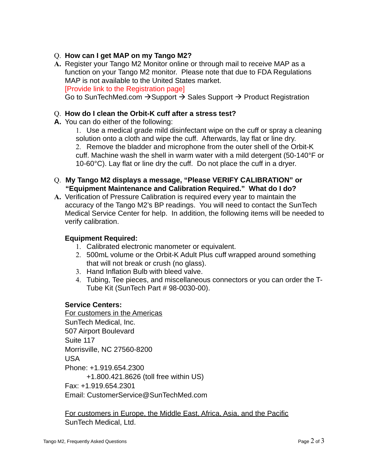## Q. **How can I get MAP on my Tango M2?**

**A.** Register your Tango M2 Monitor online or through mail to receive MAP as a function on your Tango M2 monitor. Please note that due to FDA Regulations MAP is not available to the United States market. [Provide link to the Registration page] Go to SunTechMed.com  $\rightarrow$  Support  $\rightarrow$  Sales Support  $\rightarrow$  Product Registration

## Q. **How do I clean the Orbit-K cuff after a stress test?**

**A.** You can do either of the following:

1. Use a medical grade mild disinfectant wipe on the cuff or spray a cleaning solution onto a cloth and wipe the cuff. Afterwards, lay flat or line dry. 2. Remove the bladder and microphone from the outer shell of the Orbit-K cuff. Machine wash the shell in warm water with a mild detergent (50-140°F or 10-60°C). Lay flat or line dry the cuff. Do not place the cuff in a dryer.

- Q. **My Tango M2 displays a message, "Please VERIFY CALIBRATION" or "Equipment Maintenance and Calibration Required." What do I do?**
- **A.** Verification of Pressure Calibration is required every year to maintain the accuracy of the Tango M2's BP readings. You will need to contact the SunTech Medical Service Center for help. In addition, the following items will be needed to verify calibration.

#### **Equipment Required:**

- 1. Calibrated electronic manometer or equivalent.
- 2. 500mL volume or the Orbit-K Adult Plus cuff wrapped around something that will not break or crush (no glass).
- 3. Hand Inflation Bulb with bleed valve.
- 4. Tubing, Tee pieces, and miscellaneous connectors or you can order the T-Tube Kit (SunTech Part # 98-0030-00).

#### **Service Centers:**

For customers in the Americas SunTech Medical, Inc. 507 Airport Boulevard Suite 117 Morrisville, NC 27560-8200 USA Phone: +1.919.654.2300 +1.800.421.8626 (toll free within US) Fax: +1.919.654.2301 Email: CustomerService@SunTechMed.com

For customers in Europe, the Middle East, Africa, Asia, and the Pacific SunTech Medical, Ltd.